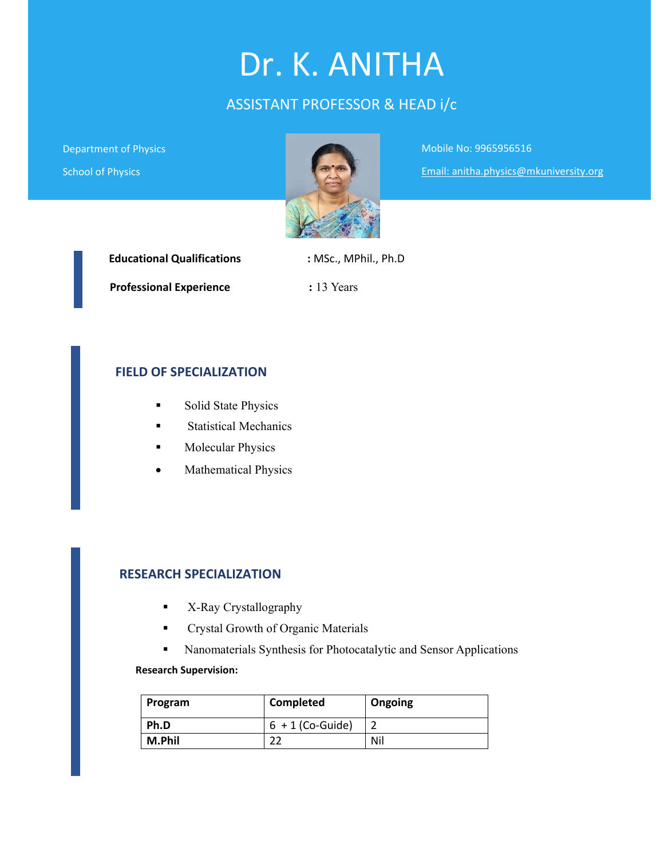# Dr. K. ANITHA

# ASSISTANT PROFESSOR & HEAD i/c

Department of Physics School of Physics



Mobile No: 9965956516

Email: anitha.physics@mkuniversity.org

| <b>Educational Qualifications</b> | : MSc., MPhil., Ph.D |
|-----------------------------------|----------------------|
| <b>Professional Experience</b>    | $: 13$ Years         |

#### **FIELD OF SPECIALIZATION**

- **Solid State Physics**
- **Statistical Mechanics**
- **Molecular Physics**
- Mathematical Physics

#### **RESEARCH SPECIALIZATION**

- **K-Ray Crystallography**
- **Crystal Growth of Organic Materials**
- Nanomaterials Synthesis for Photocatalytic and Sensor Applications

#### **Research Supervision:**

| Program | Completed          | Ongoing |
|---------|--------------------|---------|
| Ph.D    | $6 + 1$ (Co-Guide) |         |
| M.Phil  |                    | Nil     |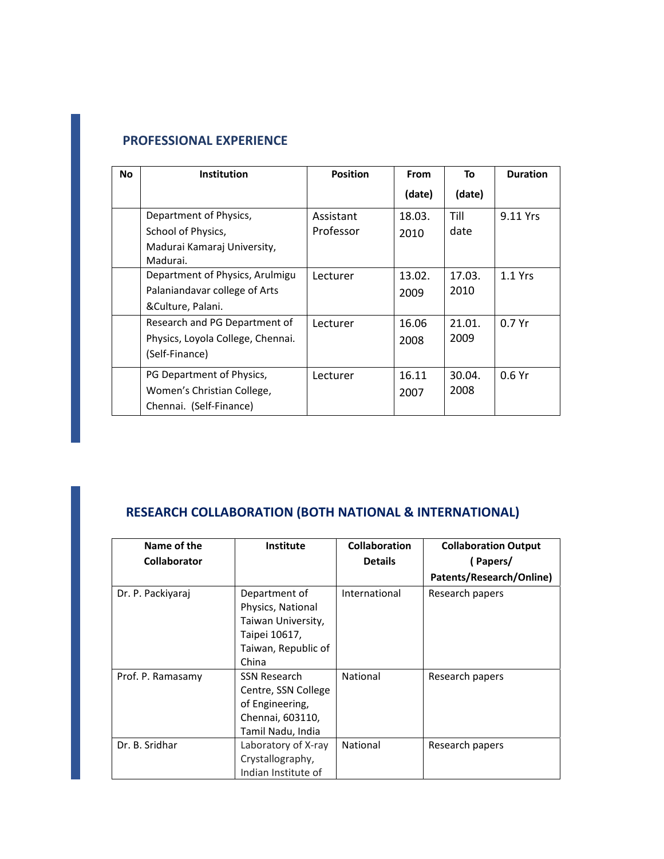# **PROFESSIONAL EXPERIENCE**

| <b>No</b> | <b>Institution</b>                      | <b>Position</b> | <b>From</b> | To     | <b>Duration</b> |
|-----------|-----------------------------------------|-----------------|-------------|--------|-----------------|
|           |                                         |                 | (date)      | (date) |                 |
|           | Department of Physics,                  | Assistant       | 18.03.      | Till   | 9.11 Yrs        |
|           | School of Physics,                      | Professor       | 2010        | date   |                 |
|           | Madurai Kamaraj University,<br>Madurai. |                 |             |        |                 |
|           | Department of Physics, Arulmigu         | Lecturer        | 13.02.      | 17.03. | $1.1$ Yrs       |
|           | Palaniandavar college of Arts           |                 | 2009        | 2010   |                 |
|           | &Culture, Palani.                       |                 |             |        |                 |
|           | Research and PG Department of           | Lecturer        | 16.06       | 21.01. | 0.7Yr           |
|           | Physics, Loyola College, Chennai.       |                 | 2008        | 2009   |                 |
|           | (Self-Finance)                          |                 |             |        |                 |
|           | PG Department of Physics,               | Lecturer        | 16.11       | 30.04. | 0.6Yr           |
|           | Women's Christian College,              |                 | 2007        | 2008   |                 |
|           | Chennai. (Self-Finance)                 |                 |             |        |                 |

# **RESEARCH COLLABORATION (BOTH NATIONAL & INTERNATIONAL)**

| Name of the         | <b>Institute</b>    | Collaboration  | <b>Collaboration Output</b> |
|---------------------|---------------------|----------------|-----------------------------|
| <b>Collaborator</b> |                     | <b>Details</b> | (Papers/                    |
|                     |                     |                | Patents/Research/Online)    |
| Dr. P. Packiyaraj   | Department of       | International  | Research papers             |
|                     | Physics, National   |                |                             |
|                     | Taiwan University,  |                |                             |
|                     | Taipei 10617,       |                |                             |
|                     | Taiwan, Republic of |                |                             |
|                     | China               |                |                             |
| Prof. P. Ramasamy   | SSN Research        | National       | Research papers             |
|                     | Centre, SSN College |                |                             |
|                     | of Engineering,     |                |                             |
|                     | Chennai, 603110,    |                |                             |
|                     | Tamil Nadu, India   |                |                             |
| Dr. B. Sridhar      | Laboratory of X-ray | National       | Research papers             |
|                     | Crystallography,    |                |                             |
|                     | Indian Institute of |                |                             |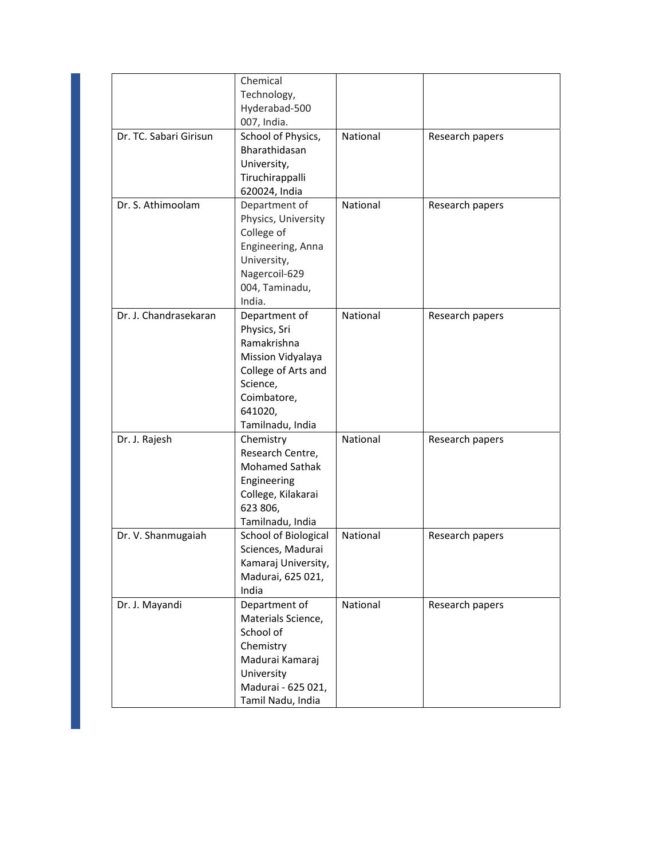|                        | Chemical              |          |                 |
|------------------------|-----------------------|----------|-----------------|
|                        | Technology,           |          |                 |
|                        | Hyderabad-500         |          |                 |
|                        | 007, India.           |          |                 |
| Dr. TC. Sabari Girisun | School of Physics,    | National | Research papers |
|                        | Bharathidasan         |          |                 |
|                        | University,           |          |                 |
|                        | Tiruchirappalli       |          |                 |
|                        | 620024, India         |          |                 |
| Dr. S. Athimoolam      | Department of         | National | Research papers |
|                        | Physics, University   |          |                 |
|                        | College of            |          |                 |
|                        | Engineering, Anna     |          |                 |
|                        | University,           |          |                 |
|                        | Nagercoil-629         |          |                 |
|                        | 004, Taminadu,        |          |                 |
|                        | India.                |          |                 |
| Dr. J. Chandrasekaran  | Department of         | National | Research papers |
|                        | Physics, Sri          |          |                 |
|                        | Ramakrishna           |          |                 |
|                        | Mission Vidyalaya     |          |                 |
|                        | College of Arts and   |          |                 |
|                        | Science,              |          |                 |
|                        | Coimbatore,           |          |                 |
|                        | 641020,               |          |                 |
|                        | Tamilnadu, India      |          |                 |
| Dr. J. Rajesh          | Chemistry             | National | Research papers |
|                        | Research Centre,      |          |                 |
|                        | <b>Mohamed Sathak</b> |          |                 |
|                        | Engineering           |          |                 |
|                        | College, Kilakarai    |          |                 |
|                        | 623 806,              |          |                 |
|                        | Tamilnadu, India      |          |                 |
| Dr. V. Shanmugaiah     | School of Biological  | National | Research papers |
|                        | Sciences, Madurai     |          |                 |
|                        | Kamaraj University,   |          |                 |
|                        | Madurai, 625 021,     |          |                 |
|                        | India                 |          |                 |
| Dr. J. Mayandi         | Department of         | National | Research papers |
|                        | Materials Science,    |          |                 |
|                        | School of             |          |                 |
|                        | Chemistry             |          |                 |
|                        | Madurai Kamaraj       |          |                 |
|                        | University            |          |                 |
|                        | Madurai - 625 021,    |          |                 |
|                        | Tamil Nadu, India     |          |                 |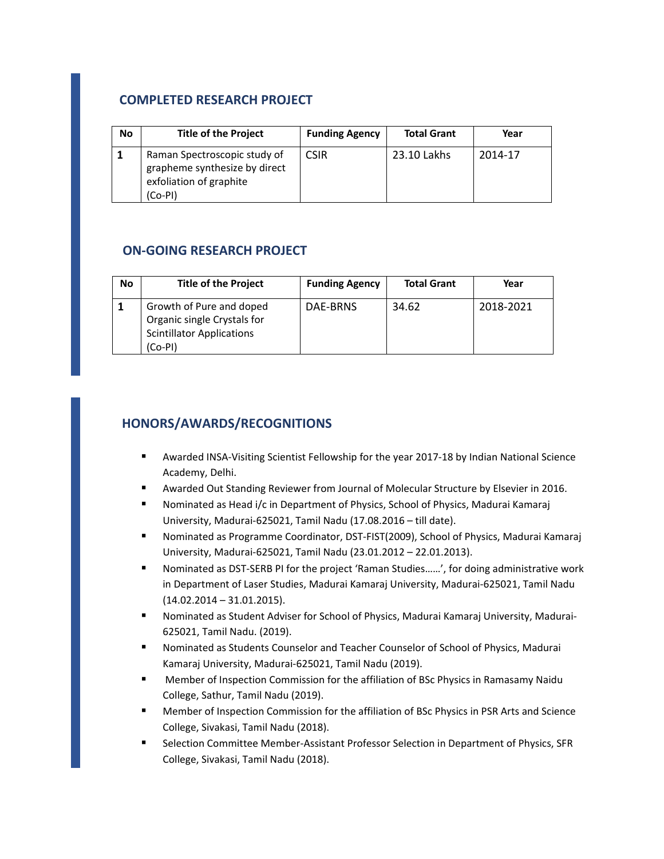# **COMPLETED RESEARCH PROJECT**

| No | <b>Title of the Project</b>                                                                         | <b>Funding Agency</b> | <b>Total Grant</b> | Year    |
|----|-----------------------------------------------------------------------------------------------------|-----------------------|--------------------|---------|
|    | Raman Spectroscopic study of<br>grapheme synthesize by direct<br>exfoliation of graphite<br>(Co-PI) | <b>CSIR</b>           | 23.10 Lakhs        | 2014-17 |

#### **ON‐GOING RESEARCH PROJECT**

| No | <b>Title of the Project</b>                                                                            | <b>Funding Agency</b> | <b>Total Grant</b> | Year      |
|----|--------------------------------------------------------------------------------------------------------|-----------------------|--------------------|-----------|
|    | Growth of Pure and doped<br>Organic single Crystals for<br><b>Scintillator Applications</b><br>(Co-PI) | DAE-BRNS              | 34.62              | 2018-2021 |

## **HONORS/AWARDS/RECOGNITIONS**

- Awarded INSA-Visiting Scientist Fellowship for the year 2017-18 by Indian National Science Academy, Delhi.
- Awarded Out Standing Reviewer from Journal of Molecular Structure by Elsevier in 2016.
- Nominated as Head i/c in Department of Physics, School of Physics, Madurai Kamaraj University, Madurai‐625021, Tamil Nadu (17.08.2016 – till date).
- Nominated as Programme Coordinator, DST‐FIST(2009), School of Physics, Madurai Kamaraj University, Madurai‐625021, Tamil Nadu (23.01.2012 – 22.01.2013).
- Nominated as DST‐SERB PI for the project 'Raman Studies……', for doing administrative work in Department of Laser Studies, Madurai Kamaraj University, Madurai‐625021, Tamil Nadu (14.02.2014 – 31.01.2015).
- Nominated as Student Adviser for School of Physics, Madurai Kamaraj University, Madurai‐ 625021, Tamil Nadu. (2019).
- Nominated as Students Counselor and Teacher Counselor of School of Physics, Madurai Kamaraj University, Madurai‐625021, Tamil Nadu (2019).
- Member of Inspection Commission for the affiliation of BSc Physics in Ramasamy Naidu College, Sathur, Tamil Nadu (2019).
- Member of Inspection Commission for the affiliation of BSc Physics in PSR Arts and Science College, Sivakasi, Tamil Nadu (2018).
- Selection Committee Member‐Assistant Professor Selection in Department of Physics, SFR College, Sivakasi, Tamil Nadu (2018).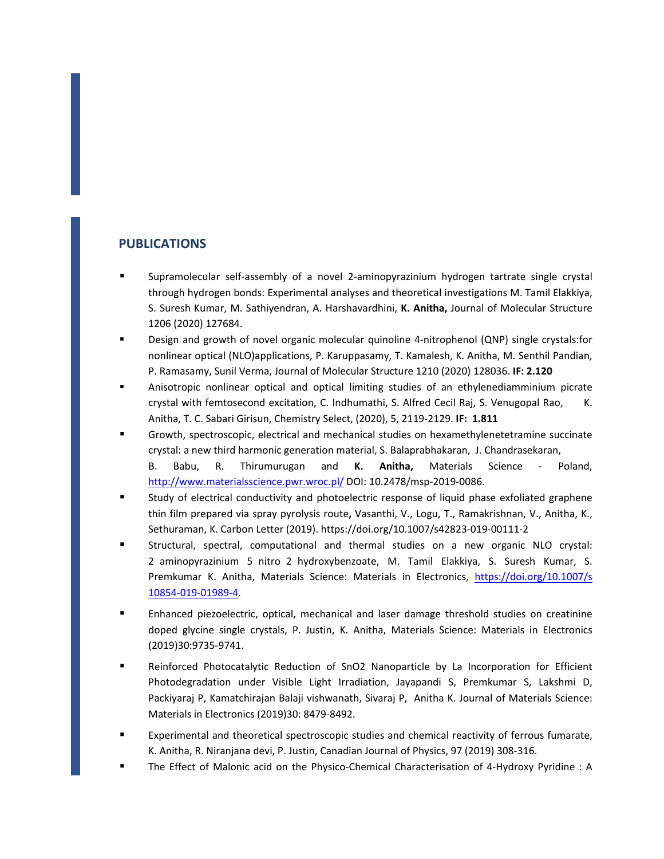#### **PUBLICATIONS**

- Supramolecular self-assembly of a novel 2-aminopyrazinium hydrogen tartrate single crystal through hydrogen bonds: Experimental analyses and theoretical investigations M. Tamil Elakkiya, S. Suresh Kumar, M. Sathiyendran, A. Harshavardhini, **K. Anitha,** Journal of Molecular Structure 1206 (2020) 127684.
- Design and growth of novel organic molecular quinoline 4-nitrophenol (QNP) single crystals:for nonlinear optical (NLO)applications, P. Karuppasamy, T. Kamalesh, K. Anitha, M. Senthil Pandian, P. Ramasamy, Sunil Verma, Journal of Molecular Structure 1210 (2020) 128036. **IF: 2.120**
- Anisotropic nonlinear optical and optical limiting studies of an ethylenediamminium picrate crystal with femtosecond excitation, C. Indhumathi, S. Alfred Cecil Raj, S. Venugopal Rao, K. Anitha, T. C. Sabari Girisun, Chemistry Select, (2020), 5, 2119‐2129. **IF: 1.811**
- Growth, spectroscopic, electrical and mechanical studies on hexamethylenetetramine succinate crystal: a new third harmonic generation material, S. Balaprabhakaran, J. Chandrasekaran, B. Babu, R. Thirumurugan and **K. Anitha,** Materials Science ‐ Poland, http://www.materialsscience.pwr.wroc.pl/ DOI: 10.2478/msp-2019-0086.
- Study of electrical conductivity and photoelectric response of liquid phase exfoliated graphene thin film prepared via spray pyrolysis route**,** Vasanthi, V., Logu, T., Ramakrishnan, V., Anitha, K., Sethuraman, K. Carbon Letter (2019). https://doi.org/10.1007/s42823‐019‐00111‐2
- Structural, spectral, computational and thermal studies on a new organic NLO crystal: 2 aminopyrazinium 5 nitro 2 hydroxybenzoate, M. Tamil Elakkiya, S. Suresh Kumar, S. Premkumar K. Anitha, Materials Science: Materials in Electronics, https://doi.org/10.1007/s 10854‐019‐01989‐4.
- Enhanced piezoelectric, optical, mechanical and laser damage threshold studies on creatinine doped glycine single crystals, P. Justin, K. Anitha, Materials Science: Materials in Electronics (2019)30:9735‐9741.
- Reinforced Photocatalytic Reduction of SnO2 Nanoparticle by La Incorporation for Efficient Photodegradation under Visible Light Irradiation, Jayapandi S, Premkumar S, Lakshmi D, Packiyaraj P, Kamatchirajan Balaji vishwanath, Sivaraj P, Anitha K. Journal of Materials Science: Materials in Electronics (2019)30: 8479‐8492.
- Experimental and theoretical spectroscopic studies and chemical reactivity of ferrous fumarate, K. Anitha, R. Niranjana devi, P. Justin, Canadian Journal of Physics, 97 (2019) 308‐316.
- The Effect of Malonic acid on the Physico‐Chemical Characterisation of 4‐Hydroxy Pyridine : A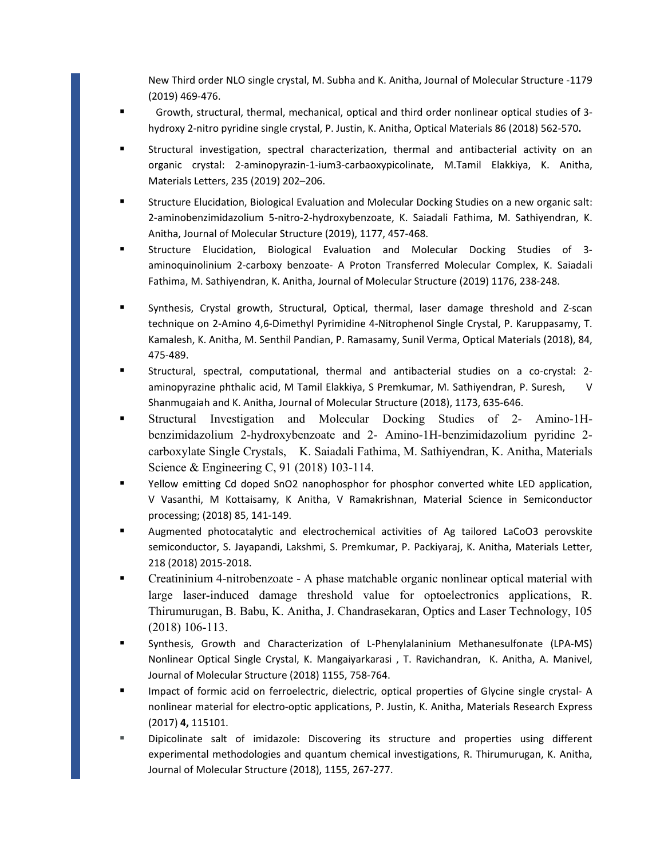New Third order NLO single crystal, M. Subha and K. Anitha, Journal of Molecular Structure ‐1179 (2019) 469‐476.

- Growth, structural, thermal, mechanical, optical and third order nonlinear optical studies of 3hydroxy 2‐nitro pyridine single crystal, P. Justin, K. Anitha, Optical Materials 86 (2018) 562‐570**.**
- Structural investigation, spectral characterization, thermal and antibacterial activity on an organic crystal: 2‐aminopyrazin‐1‐ium3‐carbaoxypicolinate, M.Tamil Elakkiya, K. Anitha, Materials Letters, 235 (2019) 202–206.
- Structure Elucidation, Biological Evaluation and Molecular Docking Studies on a new organic salt: 2‐aminobenzimidazolium 5‐nitro‐2‐hydroxybenzoate, K. Saiadali Fathima, M. Sathiyendran, K. Anitha, Journal of Molecular Structure (2019), 1177, 457‐468.
- Structure Elucidation, Biological Evaluation and Molecular Docking Studies of 3aminoquinolinium 2‐carboxy benzoate‐ A Proton Transferred Molecular Complex, K. Saiadali Fathima, M. Sathiyendran, K. Anitha, Journal of Molecular Structure (2019) 1176, 238‐248.
- Synthesis, Crystal growth, Structural, Optical, thermal, laser damage threshold and Z-scan technique on 2‐Amino 4,6‐Dimethyl Pyrimidine 4‐Nitrophenol Single Crystal, P. Karuppasamy, T. Kamalesh, K. Anitha, M. Senthil Pandian, P. Ramasamy, Sunil Verma, Optical Materials (2018), 84, 475‐489.
- Structural, spectral, computational, thermal and antibacterial studies on a co-crystal: 2aminopyrazine phthalic acid, M Tamil Elakkiya, S Premkumar, M. Sathiyendran, P. Suresh, V Shanmugaiah and K. Anitha, Journal of Molecular Structure (2018), 1173, 635‐646.
- Structural Investigation and Molecular Docking Studies of 2- Amino-1Hbenzimidazolium 2-hydroxybenzoate and 2- Amino-1H-benzimidazolium pyridine 2 carboxylate Single Crystals, K. Saiadali Fathima, M. Sathiyendran, K. Anitha, Materials Science & Engineering C, 91 (2018) 103-114.
- Yellow emitting Cd doped SnO2 nanophosphor for phosphor converted white LED application, V Vasanthi, M Kottaisamy, K Anitha, V Ramakrishnan, Material Science in Semiconductor processing; (2018) 85, 141‐149.
- Augmented photocatalytic and electrochemical activities of Ag tailored LaCoO3 perovskite semiconductor, S. Jayapandi, Lakshmi, S. Premkumar, P. Packiyaraj, K. Anitha, Materials Letter, 218 (2018) 2015‐2018.
- Creatininium 4-nitrobenzoate A phase matchable organic nonlinear optical material with large laser-induced damage threshold value for optoelectronics applications, R. Thirumurugan, B. Babu, K. Anitha, J. Chandrasekaran, Optics and Laser Technology, 105 (2018) 106-113.
- Synthesis, Growth and Characterization of L-Phenylalaninium Methanesulfonate (LPA-MS) Nonlinear Optical Single Crystal, K. Mangaiyarkarasi , T. Ravichandran, K. Anitha, A. Manivel, Journal of Molecular Structure (2018) 1155, 758‐764.
- Impact of formic acid on ferroelectric, dielectric, optical properties of Glycine single crystal- A nonlinear material for electro-optic applications, P. Justin, K. Anitha, Materials Research Express (2017) **4,** 115101.
- Dipicolinate salt of imidazole: Discovering its structure and properties using different experimental methodologies and quantum chemical investigations, R. Thirumurugan, K. Anitha, Journal of Molecular Structure (2018), 1155, 267‐277.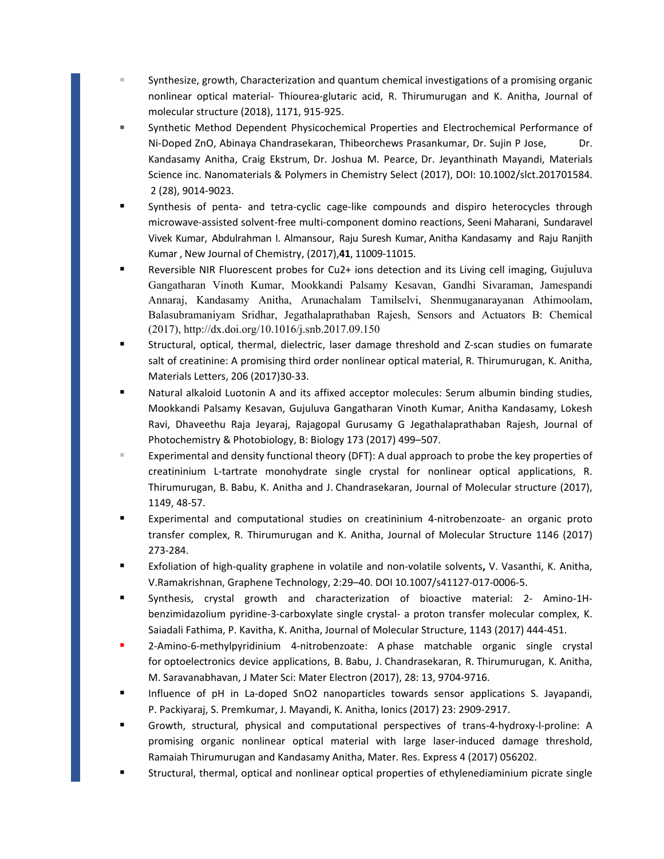- Synthesize, growth, Characterization and quantum chemical investigations of a promising organic nonlinear optical material‐ Thiourea‐glutaric acid, R. Thirumurugan and K. Anitha, Journal of molecular structure (2018), 1171, 915‐925.
- Synthetic Method Dependent Physicochemical Properties and Electrochemical Performance of Ni-Doped ZnO, Abinaya Chandrasekaran, Thibeorchews Prasankumar, Dr. Sujin P Jose, Dr. Kandasamy Anitha, Craig Ekstrum, Dr. Joshua M. Pearce, Dr. Jeyanthinath Mayandi, Materials Science inc. Nanomaterials & Polymers in Chemistry Select (2017), DOI: 10.1002/slct.201701584. 2 (28), 9014‐9023.
- Synthesis of penta- and tetra-cyclic cage-like compounds and dispiro heterocycles through microwave‐assisted solvent‐free multi‐component domino reactions, Seeni Maharani, Sundaravel Vivek Kumar, Abdulrahman I. Almansour, Raju Suresh Kumar, Anitha Kandasamy and Raju Ranjith Kumar , New Journal of Chemistry, (2017),**41**, 11009‐11015.
- Reversible NIR Fluorescent probes for Cu2+ ions detection and its Living cell imaging, Gujuluva Gangatharan Vinoth Kumar, Mookkandi Palsamy Kesavan, Gandhi Sivaraman, Jamespandi Annaraj, Kandasamy Anitha, Arunachalam Tamilselvi, Shenmuganarayanan Athimoolam, Balasubramaniyam Sridhar, Jegathalaprathaban Rajesh, Sensors and Actuators B: Chemical (2017), http://dx.doi.org/10.1016/j.snb.2017.09.150
- Structural, optical, thermal, dielectric, laser damage threshold and Z-scan studies on fumarate salt of creatinine: A promising third order nonlinear optical material, R. Thirumurugan, K. Anitha, Materials Letters, 206 (2017)30‐33.
- Natural alkaloid Luotonin A and its affixed acceptor molecules: Serum albumin binding studies, Mookkandi Palsamy Kesavan, Gujuluva Gangatharan Vinoth Kumar, Anitha Kandasamy, Lokesh Ravi, Dhaveethu Raja Jeyaraj, Rajagopal Gurusamy G Jegathalaprathaban Rajesh, Journal of Photochemistry & Photobiology, B: Biology 173 (2017) 499–507.
- Experimental and density functional theory (DFT): A dual approach to probe the key properties of creatininium L‐tartrate monohydrate single crystal for nonlinear optical applications, R. Thirumurugan, B. Babu, K. Anitha and J. Chandrasekaran, Journal of Molecular structure (2017), 1149, 48‐57.
- Experimental and computational studies on creatininium 4-nitrobenzoate- an organic proto transfer complex, R. Thirumurugan and K. Anitha, Journal of Molecular Structure 1146 (2017) 273‐284.
- Exfoliation of high-quality graphene in volatile and non-volatile solvents, V. Vasanthi, K. Anitha, V.Ramakrishnan, Graphene Technology, 2:29–40. DOI 10.1007/s41127‐017‐0006‐5.
- Synthesis, crystal growth and characterization of bioactive material: 2- Amino-1Hbenzimidazolium pyridine‐3‐carboxylate single crystal‐ a proton transfer molecular complex, K. Saiadali Fathima, P. Kavitha, K. Anitha, Journal of Molecular Structure, 1143 (2017) 444‐451.
- 2-Amino-6-methylpyridinium 4-nitrobenzoate: A phase matchable organic single crystal for optoelectronics device applications, B. Babu, J. Chandrasekaran, R. Thirumurugan, K. Anitha, M. Saravanabhavan, J Mater Sci: Mater Electron (2017), 28: 13, 9704‐9716.
- Influence of pH in La-doped SnO2 nanoparticles towards sensor applications S. Jayapandi, P. Packiyaraj, S. Premkumar, J. Mayandi, K. Anitha, Ionics (2017) 23: 2909‐2917.
- Growth, structural, physical and computational perspectives of trans‐4‐hydroxy‐l‐proline: A promising organic nonlinear optical material with large laser-induced damage threshold, Ramaiah Thirumurugan and Kandasamy Anitha, Mater. Res. Express 4 (2017) 056202.
- Structural, thermal, optical and nonlinear optical properties of ethylenediaminium picrate single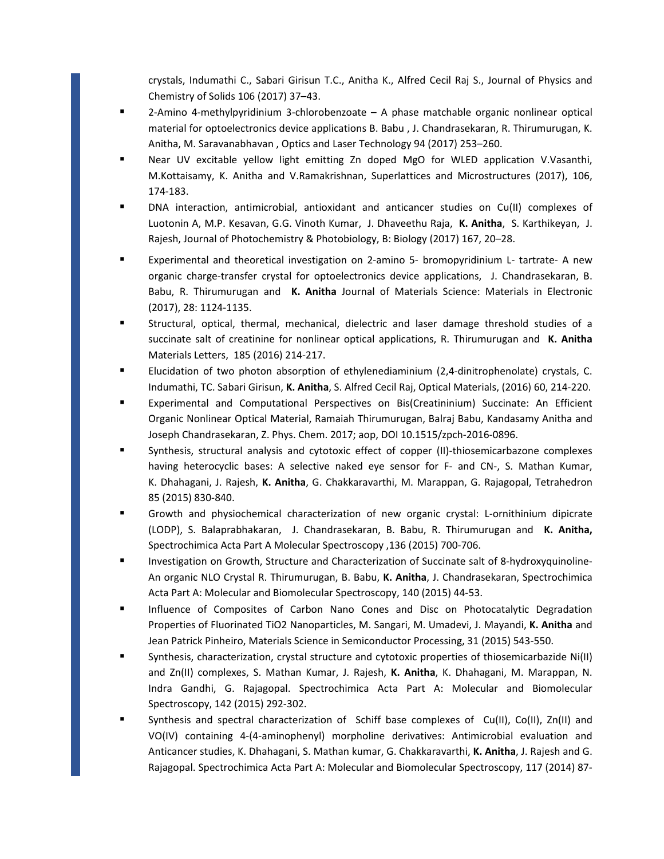crystals, Indumathi C., Sabari Girisun T.C., Anitha K., Alfred Cecil Raj S., Journal of Physics and Chemistry of Solids 106 (2017) 37–43.

- 2-Amino 4-methylpyridinium 3-chlorobenzoate A phase matchable organic nonlinear optical material for optoelectronics device applications B. Babu , J. Chandrasekaran, R. Thirumurugan, K. Anitha, M. Saravanabhavan , Optics and Laser Technology 94 (2017) 253–260.
- Near UV excitable yellow light emitting Zn doped MgO for WLED application V.Vasanthi, M.Kottaisamy, K. Anitha and V.Ramakrishnan, Superlattices and Microstructures (2017), 106, 174‐183.
- DNA interaction, antimicrobial, antioxidant and anticancer studies on Cu(II) complexes of Luotonin A, M.P. Kesavan, G.G. Vinoth Kumar, J. Dhaveethu Raja, **K. Anitha**, S. Karthikeyan, J. Rajesh, Journal of Photochemistry & Photobiology, B: Biology (2017) 167, 20–28.
- Experimental and theoretical investigation on 2-amino 5- bromopyridinium L- tartrate- A new organic charge‐transfer crystal for optoelectronics device applications, J. Chandrasekaran, B. Babu, R. Thirumurugan and **K. Anitha** Journal of Materials Science: Materials in Electronic (2017), 28: 1124‐1135.
- Structural, optical, thermal, mechanical, dielectric and laser damage threshold studies of a succinate salt of creatinine for nonlinear optical applications, R. Thirumurugan and **K. Anitha** Materials Letters, 185 (2016) 214‐217.
- Elucidation of two photon absorption of ethylenediaminium (2,4-dinitrophenolate) crystals, C. Indumathi, TC. Sabari Girisun, **K. Anitha**, S. Alfred Cecil Raj, Optical Materials, (2016) 60, 214‐220.
- Experimental and Computational Perspectives on Bis(Creatininium) Succinate: An Efficient Organic Nonlinear Optical Material, Ramaiah Thirumurugan, Balraj Babu, Kandasamy Anitha and Joseph Chandrasekaran, Z. Phys. Chem. 2017; aop, DOI 10.1515/zpch‐2016‐0896.
- Synthesis, structural analysis and cytotoxic effect of copper (II)-thiosemicarbazone complexes having heterocyclic bases: A selective naked eye sensor for F- and CN-, S. Mathan Kumar, K. Dhahagani, J. Rajesh, **K. Anitha**, G. Chakkaravarthi, M. Marappan, G. Rajagopal, Tetrahedron 85 (2015) 830‐840.
- Growth and physiochemical characterization of new organic crystal: L-ornithinium dipicrate (LODP), S. Balaprabhakaran, J. Chandrasekaran, B. Babu, R. Thirumurugan and **K. Anitha,** Spectrochimica Acta Part A Molecular Spectroscopy ,136 (2015) 700‐706.
- Investigation on Growth, Structure and Characterization of Succinate salt of 8-hydroxyquinoline-An organic NLO Crystal R. Thirumurugan, B. Babu, **K. Anitha**, J. Chandrasekaran, Spectrochimica Acta Part A: Molecular and Biomolecular Spectroscopy, 140 (2015) 44‐53.
- **Influence of Composites of Carbon Nano Cones and Disc on Photocatalytic Degradation** Properties of Fluorinated TiO2 Nanoparticles, M. Sangari, M. Umadevi, J. Mayandi, **K. Anitha** and Jean Patrick Pinheiro, Materials Science in Semiconductor Processing, 31 (2015) 543‐550.
- Synthesis, characterization, crystal structure and cytotoxic properties of thiosemicarbazide Ni(II) and Zn(II) complexes, S. Mathan Kumar, J. Rajesh, **K. Anitha**, K. Dhahagani, M. Marappan, N. Indra Gandhi, G. Rajagopal. Spectrochimica Acta Part A: Molecular and Biomolecular Spectroscopy, 142 (2015) 292‐302.
- Synthesis and spectral characterization of Schiff base complexes of Cu(II), Co(II), Zn(II) and VO(IV) containing 4‐(4‐aminophenyl) morpholine derivatives: Antimicrobial evaluation and Anticancer studies, K. Dhahagani, S. Mathan kumar, G. Chakkaravarthi, **K. Anitha**, J. Rajesh and G. Rajagopal. Spectrochimica Acta Part A: Molecular and Biomolecular Spectroscopy, 117 (2014) 87‐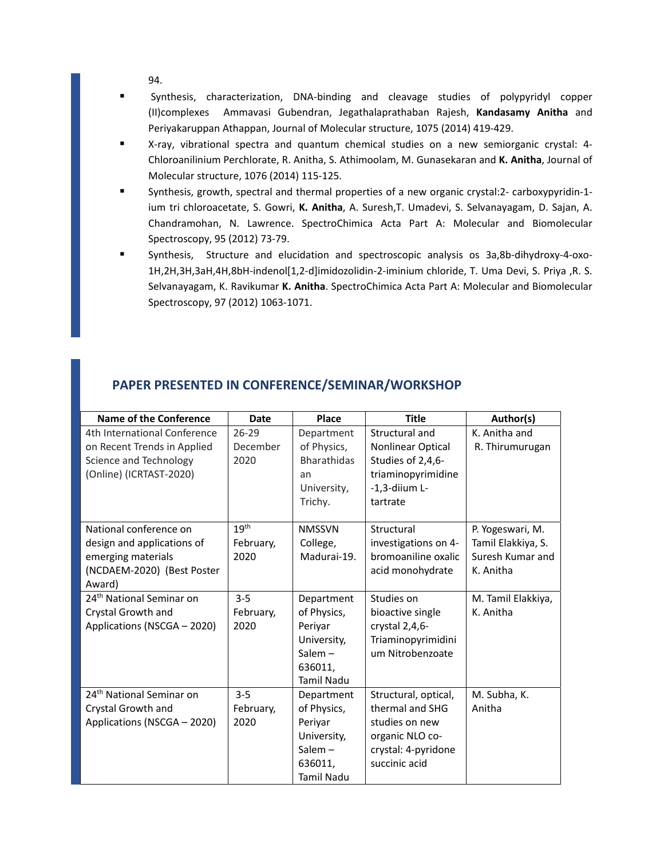94.

- Synthesis, characterization, DNA-binding and cleavage studies of polypyridyl copper (II)complexes Ammavasi Gubendran, Jegathalaprathaban Rajesh, **Kandasamy Anitha** and Periyakaruppan Athappan, Journal of Molecular structure, 1075 (2014) 419‐429.
- X-ray, vibrational spectra and quantum chemical studies on a new semiorganic crystal: 4-Chloroanilinium Perchlorate, R. Anitha, S. Athimoolam, M. Gunasekaran and **K. Anitha**, Journal of Molecular structure, 1076 (2014) 115‐125.
- Synthesis, growth, spectral and thermal properties of a new organic crystal:2- carboxypyridin-1ium tri chloroacetate, S. Gowri, **K. Anitha**, A. Suresh,T. Umadevi, S. Selvanayagam, D. Sajan, A. Chandramohan, N. Lawrence. SpectroChimica Acta Part A: Molecular and Biomolecular Spectroscopy, 95 (2012) 73‐79.
- Synthesis, Structure and elucidation and spectroscopic analysis os 3a,8b-dihydroxy-4-oxo-1H,2H,3H,3aH,4H,8bH‐indenol[1,2‐d]imidozolidin‐2‐iminium chloride, T. Uma Devi, S. Priya ,R. S. Selvanayagam, K. Ravikumar **K. Anitha**. SpectroChimica Acta Part A: Molecular and Biomolecular Spectroscopy, 97 (2012) 1063‐1071.

| <b>Name of the Conference</b>                                                                                      | <b>Date</b>                           | Place                                                                                            | <b>Title</b>                                                                                                         | Author(s)                                                               |
|--------------------------------------------------------------------------------------------------------------------|---------------------------------------|--------------------------------------------------------------------------------------------------|----------------------------------------------------------------------------------------------------------------------|-------------------------------------------------------------------------|
| 4th International Conference<br>on Recent Trends in Applied<br>Science and Technology<br>(Online) (ICRTAST-2020)   | $26 - 29$<br>December<br>2020         | Department<br>of Physics,<br><b>Bharathidas</b><br>an<br>University,<br>Trichy.                  | Structural and<br>Nonlinear Optical<br>Studies of 2,4,6-<br>triaminopyrimidine<br>$-1, 3$ -diium L-<br>tartrate      | K. Anitha and<br>R. Thirumurugan                                        |
| National conference on<br>design and applications of<br>emerging materials<br>(NCDAEM-2020) (Best Poster<br>Award) | 19 <sup>th</sup><br>February,<br>2020 | <b>NMSSVN</b><br>College,<br>Madurai-19.                                                         | Structural<br>investigations on 4-<br>bromoaniline oxalic<br>acid monohydrate                                        | P. Yogeswari, M.<br>Tamil Elakkiya, S.<br>Suresh Kumar and<br>K. Anitha |
| 24 <sup>th</sup> National Seminar on<br>Crystal Growth and<br>Applications (NSCGA - 2020)                          | $3 - 5$<br>February,<br>2020          | Department<br>of Physics,<br>Periyar<br>University,<br>Salem $-$<br>636011,<br>Tamil Nadu        | Studies on<br>bioactive single<br>crystal 2,4,6-<br>Triaminopyrimidini<br>um Nitrobenzoate                           | M. Tamil Elakkiya,<br>K. Anitha                                         |
| 24 <sup>th</sup> National Seminar on<br>Crystal Growth and<br>Applications (NSCGA - 2020)                          | $3 - 5$<br>February,<br>2020          | Department<br>of Physics,<br>Periyar<br>University,<br>Salem $-$<br>636011,<br><b>Tamil Nadu</b> | Structural, optical,<br>thermal and SHG<br>studies on new<br>organic NLO co-<br>crystal: 4-pyridone<br>succinic acid | M. Subha, K.<br>Anitha                                                  |

#### **PAPER PRESENTED IN CONFERENCE/SEMINAR/WORKSHOP**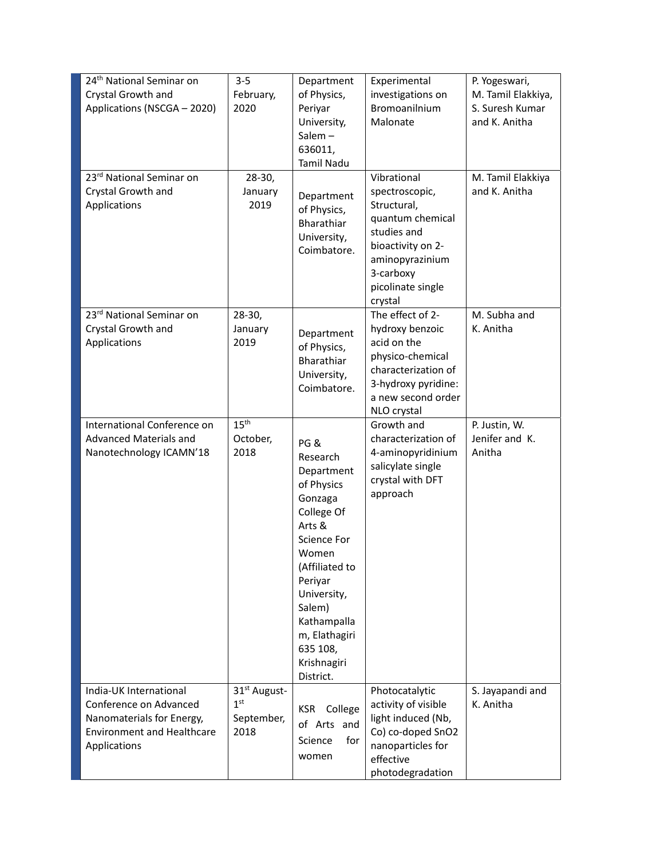| 24 <sup>th</sup> National Seminar on<br>Crystal Growth and<br>Applications (NSCGA - 2020)                                          | $3 - 5$<br>February,<br>2020                                      | Department<br>of Physics,<br>Periyar<br>University,<br>Salem $-$<br>636011,<br>Tamil Nadu                                                                                                                                                   | Experimental<br>investigations on<br><b>Bromoanilnium</b><br>Malonate                                                                                                | P. Yogeswari,<br>M. Tamil Elakkiya,<br>S. Suresh Kumar<br>and K. Anitha |
|------------------------------------------------------------------------------------------------------------------------------------|-------------------------------------------------------------------|---------------------------------------------------------------------------------------------------------------------------------------------------------------------------------------------------------------------------------------------|----------------------------------------------------------------------------------------------------------------------------------------------------------------------|-------------------------------------------------------------------------|
| 23 <sup>rd</sup> National Seminar on<br>Crystal Growth and<br>Applications                                                         | $28-30,$<br>January<br>2019                                       | Department<br>of Physics,<br>Bharathiar<br>University,<br>Coimbatore.                                                                                                                                                                       | Vibrational<br>spectroscopic,<br>Structural,<br>quantum chemical<br>studies and<br>bioactivity on 2-<br>aminopyrazinium<br>3-carboxy<br>picolinate single<br>crystal | M. Tamil Elakkiya<br>and K. Anitha                                      |
| 23rd National Seminar on<br>Crystal Growth and<br>Applications                                                                     | $28-30,$<br>January<br>2019                                       | Department<br>of Physics,<br>Bharathiar<br>University,<br>Coimbatore.                                                                                                                                                                       | The effect of 2-<br>hydroxy benzoic<br>acid on the<br>physico-chemical<br>characterization of<br>3-hydroxy pyridine:<br>a new second order<br>NLO crystal            | M. Subha and<br>K. Anitha                                               |
| International Conference on<br>Advanced Materials and<br>Nanotechnology ICAMN'18                                                   | 15 <sup>th</sup><br>October,<br>2018                              | PG&<br>Research<br>Department<br>of Physics<br>Gonzaga<br>College Of<br>Arts &<br><b>Science For</b><br>Women<br>(Affiliated to<br>Periyar<br>University,<br>Salem)<br>Kathampalla<br>m, Elathagiri<br>635 108,<br>Krishnagiri<br>District. | Growth and<br>characterization of<br>4-aminopyridinium<br>salicylate single<br>crystal with DFT<br>approach                                                          | P. Justin, W.<br>Jenifer and K.<br>Anitha                               |
| India-UK International<br>Conference on Advanced<br>Nanomaterials for Energy,<br><b>Environment and Healthcare</b><br>Applications | 31 <sup>st</sup> August-<br>1 <sup>st</sup><br>September,<br>2018 | KSR<br>College<br>of Arts and<br>Science<br>for<br>women                                                                                                                                                                                    | Photocatalytic<br>activity of visible<br>light induced (Nb,<br>Co) co-doped SnO2<br>nanoparticles for<br>effective<br>photodegradation                               | S. Jayapandi and<br>K. Anitha                                           |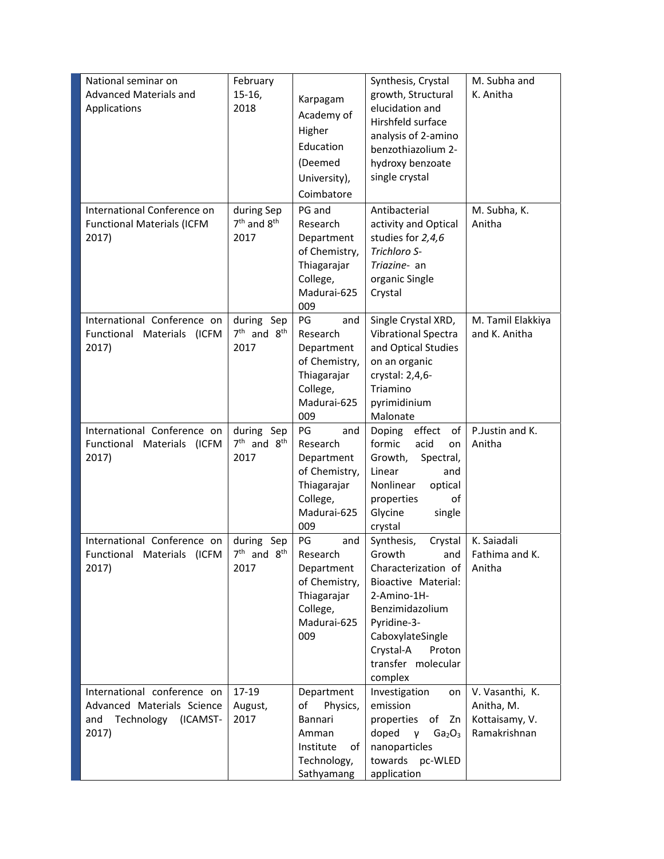| National seminar on<br>Advanced Materials and<br>Applications                                    | February<br>$15-16,$<br>2018          | Karpagam<br>Academy of<br>Higher<br>Education<br>(Deemed<br>University),<br>Coimbatore                | Synthesis, Crystal<br>growth, Structural<br>elucidation and<br>Hirshfeld surface<br>analysis of 2-amino<br>benzothiazolium 2-<br>hydroxy benzoate<br>single crystal                                               | M. Subha and<br>K. Anitha                                       |
|--------------------------------------------------------------------------------------------------|---------------------------------------|-------------------------------------------------------------------------------------------------------|-------------------------------------------------------------------------------------------------------------------------------------------------------------------------------------------------------------------|-----------------------------------------------------------------|
| International Conference on<br><b>Functional Materials (ICFM</b><br>2017)                        | during Sep<br>$7th$ and $8th$<br>2017 | PG and<br>Research<br>Department<br>of Chemistry,<br>Thiagarajar<br>College,<br>Madurai-625<br>009    | Antibacterial<br>activity and Optical<br>studies for 2,4,6<br>Trichloro S-<br>Triazine- an<br>organic Single<br>Crystal                                                                                           | M. Subha, K.<br>Anitha                                          |
| International Conference on<br>Functional Materials (ICFM<br>2017)                               | during Sep<br>$7th$ and $8th$<br>2017 | PG<br>and<br>Research<br>Department<br>of Chemistry,<br>Thiagarajar<br>College,<br>Madurai-625<br>009 | Single Crystal XRD,<br>Vibrational Spectra<br>and Optical Studies<br>on an organic<br>crystal: 2,4,6-<br>Triamino<br>pyrimidinium<br>Malonate                                                                     | M. Tamil Elakkiya<br>and K. Anitha                              |
| International Conference on<br>Functional Materials (ICFM<br>2017)                               | during Sep<br>$7th$ and $8th$<br>2017 | PG<br>and<br>Research<br>Department<br>of Chemistry,<br>Thiagarajar<br>College,<br>Madurai-625<br>009 | effect<br>of<br>Doping<br>formic<br>acid<br>on<br>Growth,<br>Spectral,<br>Linear<br>and<br>Nonlinear<br>optical<br>οf<br>properties<br>Glycine<br>single<br>crystal                                               | P.Justin and K.<br>Anitha                                       |
| International Conference on<br>Functional Materials (ICFM<br>2017)                               | during Sep<br>$7th$ and $8th$<br>2017 | PG<br>and<br>Research<br>Department<br>of Chemistry,<br>Thiagarajar<br>College,<br>Madurai-625<br>009 | Synthesis,<br>Crystal<br>Growth<br>and<br>Characterization of<br>Bioactive Material:<br>2-Amino-1H-<br>Benzimidazolium<br>Pyridine-3-<br>CaboxylateSingle<br>Crystal-A<br>Proton<br>transfer molecular<br>complex | K. Saiadali<br>Fathima and K.<br>Anitha                         |
| International conference on<br>Advanced Materials Science<br>Technology (ICAMST-<br>and<br>2017) | 17-19<br>August,<br>2017              | Department<br>Physics,<br>οf<br>Bannari<br>Amman<br>Institute<br>of  <br>Technology,<br>Sathyamang    | Investigation<br>on<br>emission<br>properties<br>of Zn<br>doped<br>Ga <sub>2</sub> O <sub>3</sub><br>$\mathsf{v}$<br>nanoparticles<br>pc-WLED<br>towards<br>application                                           | V. Vasanthi, K.<br>Anitha, M.<br>Kottaisamy, V.<br>Ramakrishnan |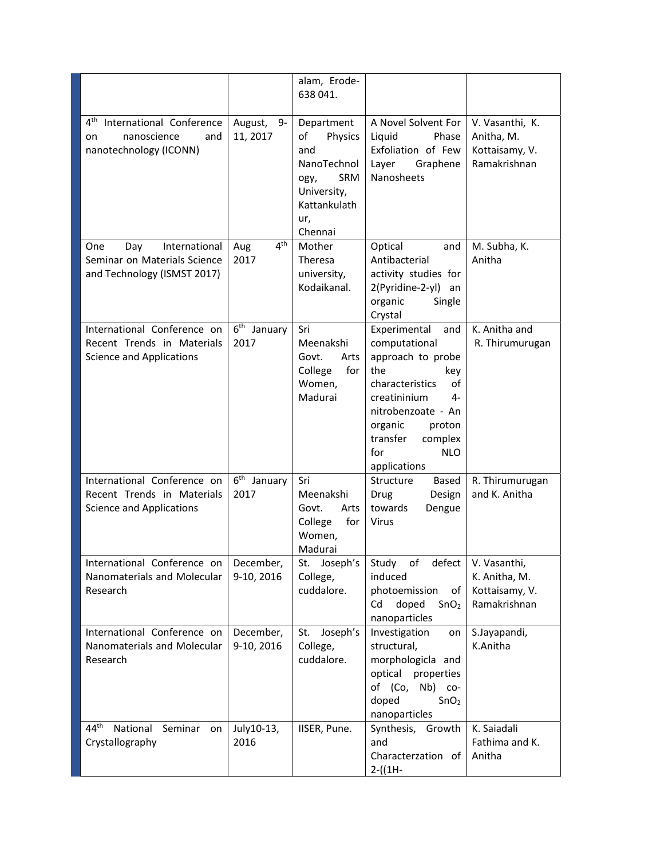|                                                                                                |                                | alam, Erode-<br>638 041.                                                                                                 |                                                                                                 |                                                                 |
|------------------------------------------------------------------------------------------------|--------------------------------|--------------------------------------------------------------------------------------------------------------------------|-------------------------------------------------------------------------------------------------|-----------------------------------------------------------------|
| 4 <sup>th</sup> International Conference<br>nanoscience<br>and<br>on<br>nanotechnology (ICONN) | August, 9-<br>11, 2017         | Department<br>Physics<br>of<br>and<br>NanoTechnol<br><b>SRM</b><br>ogy,<br>University,<br>Kattankulath<br>ur,<br>Chennai | A Novel Solvent For<br>Liquid<br>Phase<br>Exfoliation of Few<br>Layer<br>Graphene<br>Nanosheets | V. Vasanthi, K.<br>Anitha, M.<br>Kottaisamy, V.<br>Ramakrishnan |
| International<br>One<br>Day<br>Seminar on Materials Science                                    | $4^{\text{th}}$<br>Aug<br>2017 | Mother<br>Theresa                                                                                                        | Optical<br>and<br>Antibacterial                                                                 | M. Subha, K.<br>Anitha                                          |
| and Technology (ISMST 2017)                                                                    |                                | university,                                                                                                              | activity studies for                                                                            |                                                                 |
|                                                                                                |                                | Kodaikanal.                                                                                                              | 2(Pyridine-2-yl) an<br>organic<br>Single<br>Crystal                                             |                                                                 |
| International Conference on                                                                    | 6 <sup>th</sup> January        | Sri                                                                                                                      | Experimental<br>and                                                                             | K. Anitha and                                                   |
| Recent Trends in Materials<br><b>Science and Applications</b>                                  | 2017                           | Meenakshi<br>Govt.<br>Arts                                                                                               | computational<br>approach to probe                                                              | R. Thirumurugan                                                 |
|                                                                                                |                                | for<br>College                                                                                                           | the<br>key                                                                                      |                                                                 |
|                                                                                                |                                | Women,                                                                                                                   | of<br>characteristics                                                                           |                                                                 |
|                                                                                                |                                | Madurai                                                                                                                  | creatininium<br>4-<br>nitrobenzoate - An                                                        |                                                                 |
|                                                                                                |                                |                                                                                                                          | organic<br>proton                                                                               |                                                                 |
|                                                                                                |                                |                                                                                                                          | transfer<br>complex                                                                             |                                                                 |
|                                                                                                |                                |                                                                                                                          | for<br><b>NLO</b><br>applications                                                               |                                                                 |
| International Conference on                                                                    | 6 <sup>th</sup><br>January     | Sri                                                                                                                      | Structure<br>Based                                                                              | R. Thirumurugan                                                 |
| Recent Trends in Materials                                                                     | 2017                           | Meenakshi                                                                                                                | <b>Drug</b><br>Design                                                                           | and K. Anitha                                                   |
| <b>Science and Applications</b>                                                                |                                | Govt.<br>Arts<br>for<br>College                                                                                          | towards<br>Dengue<br><b>Virus</b>                                                               |                                                                 |
|                                                                                                |                                | Women,                                                                                                                   |                                                                                                 |                                                                 |
|                                                                                                |                                | Madurai                                                                                                                  |                                                                                                 |                                                                 |
| International Conference on<br>Nanomaterials and Molecular                                     | December,<br>9-10, 2016        | St. Joseph's<br>College,                                                                                                 | Study of<br>defect<br>induced                                                                   | V. Vasanthi,<br>K. Anitha, M.                                   |
| Research                                                                                       |                                | cuddalore.                                                                                                               | photoemission<br>of                                                                             | Kottaisamy, V.                                                  |
|                                                                                                |                                |                                                                                                                          | doped<br>Cd<br>SnO <sub>2</sub><br>nanoparticles                                                | Ramakrishnan                                                    |
| International Conference on<br>Nanomaterials and Molecular                                     | December,<br>9-10, 2016        | Joseph's<br>St.<br>College,                                                                                              | Investigation<br>on<br>structural,                                                              | S.Jayapandi,<br>K.Anitha                                        |
| Research                                                                                       |                                | cuddalore.                                                                                                               | morphologicla and                                                                               |                                                                 |
|                                                                                                |                                |                                                                                                                          | optical<br>properties                                                                           |                                                                 |
|                                                                                                |                                |                                                                                                                          | of (Co,<br>Nb) co-<br>doped<br>SnO <sub>2</sub>                                                 |                                                                 |
|                                                                                                |                                |                                                                                                                          | nanoparticles                                                                                   |                                                                 |
| 44 <sup>th</sup><br>National Seminar<br>on                                                     | July10-13,                     | IISER, Pune.                                                                                                             | Synthesis, Growth                                                                               | K. Saiadali                                                     |
| Crystallography                                                                                | 2016                           |                                                                                                                          | and<br>Characterzation of                                                                       | Fathima and K.<br>Anitha                                        |
|                                                                                                |                                |                                                                                                                          | $2-(1H -$                                                                                       |                                                                 |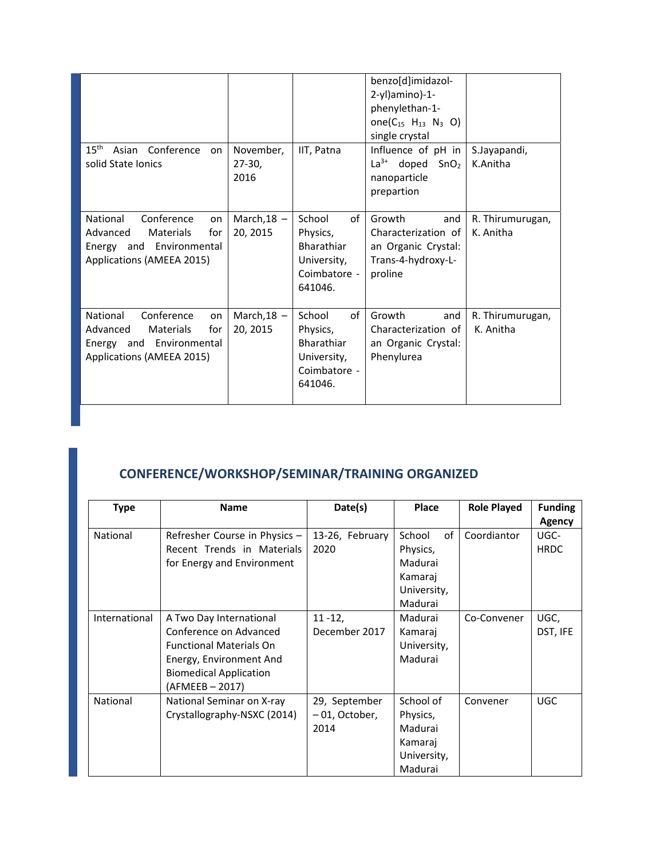|                                                                                                                       |                               |                                                                                         | benzo[d]imidazol-<br>2-yl)amino)-1-<br>phenylethan-1-<br>one( $C_{15}$ H <sub>13</sub> N <sub>3</sub> O)<br>single crystal |                               |
|-----------------------------------------------------------------------------------------------------------------------|-------------------------------|-----------------------------------------------------------------------------------------|----------------------------------------------------------------------------------------------------------------------------|-------------------------------|
| $15^{\text{th}}$<br>Asian Conference<br>on<br>solid State Ionics                                                      | November,<br>$27-30,$<br>2016 | IIT, Patna                                                                              | Influence of pH in<br>$La^{3+}$<br>doped $SnO2$<br>nanoparticle<br>prepartion                                              | S.Jayapandi,<br>K.Anitha      |
| National<br>Conference<br>on<br>Advanced<br>Materials<br>for<br>Energy and Environmental<br>Applications (AMEEA 2015) | March, $18 -$<br>20, 2015     | School<br>of<br>Physics,<br><b>Bharathiar</b><br>University,<br>Coimbatore -<br>641046. | Growth<br>and<br>Characterization of<br>an Organic Crystal:<br>Trans-4-hydroxy-L-<br>proline                               | R. Thirumurugan,<br>K. Anitha |
| Conference<br>National<br>on<br>Advanced<br>Materials<br>for<br>Energy and Environmental<br>Applications (AMEEA 2015) | March, $18 -$<br>20, 2015     | of<br>School<br>Physics,<br><b>Bharathiar</b><br>University,<br>Coimbatore -<br>641046. | Growth<br>and<br>Characterization of<br>an Organic Crystal:<br>Phenylurea                                                  | R. Thirumurugan,<br>K. Anitha |

# **CONFERENCE/WORKSHOP/SEMINAR/TRAINING ORGANIZED**

| <b>Type</b>     | <b>Name</b>                    | Date(s)         | Place        | <b>Role Played</b> | <b>Funding</b><br><b>Agency</b> |
|-----------------|--------------------------------|-----------------|--------------|--------------------|---------------------------------|
| National        | Refresher Course in Physics -  | 13-26, February | of<br>School | Coordiantor        | UGC-                            |
|                 | Recent Trends in Materials     | 2020            | Physics,     |                    | <b>HRDC</b>                     |
|                 | for Energy and Environment     |                 | Madurai      |                    |                                 |
|                 |                                |                 | Kamaraj      |                    |                                 |
|                 |                                |                 | University,  |                    |                                 |
|                 |                                |                 | Madurai      |                    |                                 |
| International   | A Two Day International        | $11 - 12,$      | Madurai      | Co-Convener        | UGC,                            |
|                 | Conference on Advanced         | December 2017   | Kamaraj      |                    | DST, IFE                        |
|                 | <b>Functional Materials On</b> |                 | University,  |                    |                                 |
|                 | Energy, Environment And        |                 | Madurai      |                    |                                 |
|                 | <b>Biomedical Application</b>  |                 |              |                    |                                 |
|                 | (AFMEEB – 2017)                |                 |              |                    |                                 |
| <b>National</b> | National Seminar on X-ray      | 29, September   | School of    | Convener           | <b>UGC</b>                      |
|                 | Crystallography-NSXC (2014)    | -01, October,   | Physics,     |                    |                                 |
|                 |                                | 2014            | Madurai      |                    |                                 |
|                 |                                |                 | Kamaraj      |                    |                                 |
|                 |                                |                 | University,  |                    |                                 |
|                 |                                |                 | Madurai      |                    |                                 |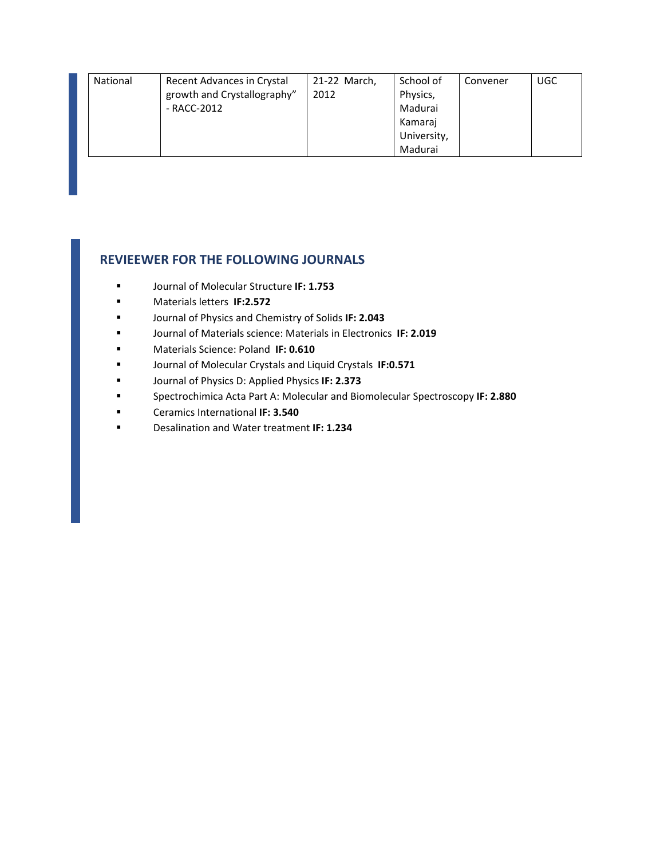| National | Recent Advances in Crystal  | 21-22 March, | School of   | Convener | <b>UGC</b> |
|----------|-----------------------------|--------------|-------------|----------|------------|
|          | growth and Crystallography" | 2012         | Physics,    |          |            |
|          | - RACC-2012                 |              | Madurai     |          |            |
|          |                             |              | Kamaraj     |          |            |
|          |                             |              | University, |          |            |
|          |                             |              | Madurai     |          |            |

#### **REVIEEWER FOR THE FOLLOWING JOURNALS**

- Journal of Molecular Structure **IF: 1.753**
- **E** Materials letters **IF:2.572**
- Journal of Physics and Chemistry of Solids **IF: 2.043**
- Journal of Materials science: Materials in Electronics **IF: 2.019**
- Materials Science: Poland **IF: 0.610**
- Journal of Molecular Crystals and Liquid Crystals **IF:0.571**
- Journal of Physics D: Applied Physics **IF: 2.373**
- Spectrochimica Acta Part A: Molecular and Biomolecular Spectroscopy **IF: 2.880**
- Ceramics International **IF: 3.540**
- Desalination and Water treatment **IF: 1.234**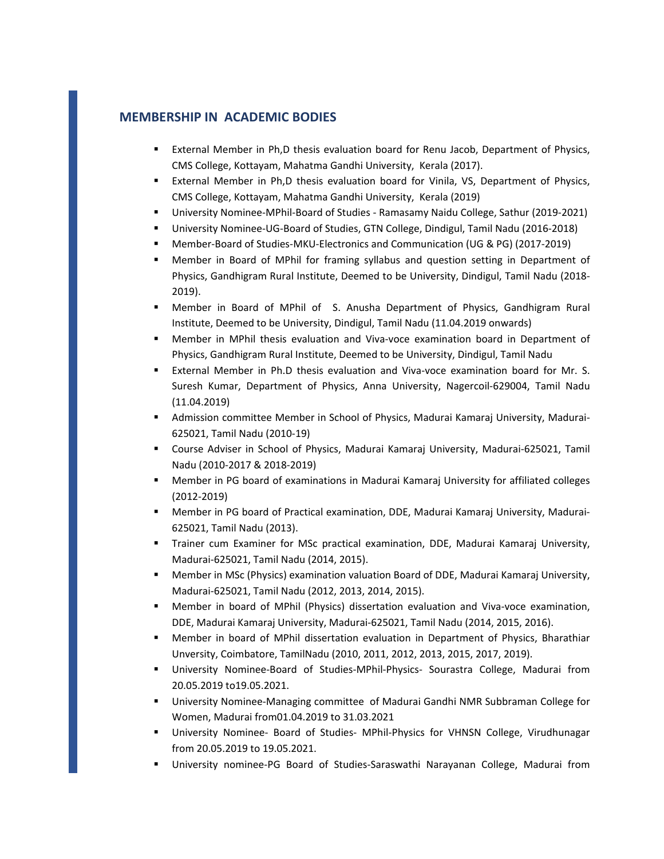#### **MEMBERSHIP IN ACADEMIC BODIES**

- **EXternal Member in Ph,D thesis evaluation board for Renu Jacob, Department of Physics,** CMS College, Kottayam, Mahatma Gandhi University, Kerala (2017).
- External Member in Ph,D thesis evaluation board for Vinila, VS, Department of Physics, CMS College, Kottayam, Mahatma Gandhi University, Kerala (2019)
- University Nominee-MPhil-Board of Studies Ramasamy Naidu College, Sathur (2019-2021)
- University Nominee-UG-Board of Studies, GTN College, Dindigul, Tamil Nadu (2016-2018)
- Member‐Board of Studies‐MKU‐Electronics and Communication (UG & PG) (2017‐2019)
- Member in Board of MPhil for framing syllabus and question setting in Department of Physics, Gandhigram Rural Institute, Deemed to be University, Dindigul, Tamil Nadu (2018‐ 2019).
- Member in Board of MPhil of S. Anusha Department of Physics, Gandhigram Rural Institute, Deemed to be University, Dindigul, Tamil Nadu (11.04.2019 onwards)
- Member in MPhil thesis evaluation and Viva-voce examination board in Department of Physics, Gandhigram Rural Institute, Deemed to be University, Dindigul, Tamil Nadu
- External Member in Ph.D thesis evaluation and Viva-voce examination board for Mr. S. Suresh Kumar, Department of Physics, Anna University, Nagercoil‐629004, Tamil Nadu (11.04.2019)
- Admission committee Member in School of Physics, Madurai Kamaraj University, Madurai-625021, Tamil Nadu (2010‐19)
- Course Adviser in School of Physics, Madurai Kamaraj University, Madurai‐625021, Tamil Nadu (2010‐2017 & 2018‐2019)
- Member in PG board of examinations in Madurai Kamaraj University for affiliated colleges (2012‐2019)
- Member in PG board of Practical examination, DDE, Madurai Kamaraj University, Madurai-625021, Tamil Nadu (2013).
- Trainer cum Examiner for MSc practical examination, DDE, Madurai Kamaraj University, Madurai‐625021, Tamil Nadu (2014, 2015).
- Member in MSc (Physics) examination valuation Board of DDE, Madurai Kamaraj University, Madurai‐625021, Tamil Nadu (2012, 2013, 2014, 2015).
- Member in board of MPhil (Physics) dissertation evaluation and Viva‐voce examination, DDE, Madurai Kamaraj University, Madurai‐625021, Tamil Nadu (2014, 2015, 2016).
- Member in board of MPhil dissertation evaluation in Department of Physics, Bharathiar Unversity, Coimbatore, TamilNadu (2010, 2011, 2012, 2013, 2015, 2017, 2019).
- University Nominee-Board of Studies-MPhil-Physics- Sourastra College, Madurai from 20.05.2019 to19.05.2021.
- University Nominee-Managing committee of Madurai Gandhi NMR Subbraman College for Women, Madurai from01.04.2019 to 31.03.2021
- University Nominee- Board of Studies- MPhil-Physics for VHNSN College, Virudhunagar from 20.05.2019 to 19.05.2021.
- University nominee-PG Board of Studies-Saraswathi Narayanan College, Madurai from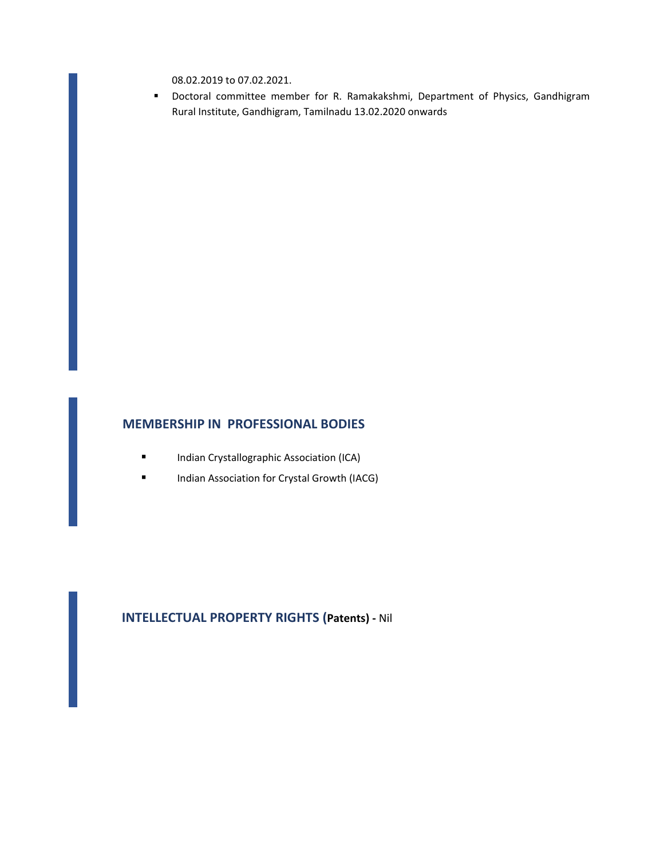08.02.2019 to 07.02.2021.

 Doctoral committee member for R. Ramakakshmi, Department of Physics, Gandhigram Rural Institute, Gandhigram, Tamilnadu 13.02.2020 onwards

#### **MEMBERSHIP IN PROFESSIONAL BODIES**

- **Indian Crystallographic Association (ICA)**
- **Indian Association for Crystal Growth (IACG)**

## **INTELLECTUAL PROPERTY RIGHTS (Patents) ‐** Nil